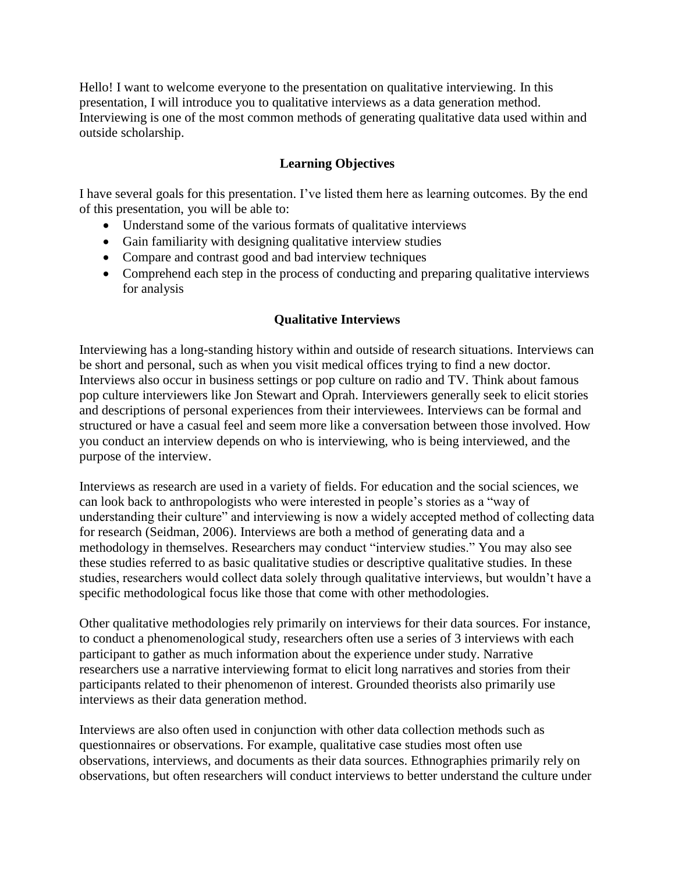Hello! I want to welcome everyone to the presentation on qualitative interviewing. In this presentation, I will introduce you to qualitative interviews as a data generation method. Interviewing is one of the most common methods of generating qualitative data used within and outside scholarship.

# **Learning Objectives**

I have several goals for this presentation. I've listed them here as learning outcomes. By the end of this presentation, you will be able to:

- Understand some of the various formats of qualitative interviews
- Gain familiarity with designing qualitative interview studies
- Compare and contrast good and bad interview techniques
- Comprehend each step in the process of conducting and preparing qualitative interviews for analysis

# **Qualitative Interviews**

Interviewing has a long-standing history within and outside of research situations. Interviews can be short and personal, such as when you visit medical offices trying to find a new doctor. Interviews also occur in business settings or pop culture on radio and TV. Think about famous pop culture interviewers like Jon Stewart and Oprah. Interviewers generally seek to elicit stories and descriptions of personal experiences from their interviewees. Interviews can be formal and structured or have a casual feel and seem more like a conversation between those involved. How you conduct an interview depends on who is interviewing, who is being interviewed, and the purpose of the interview.

Interviews as research are used in a variety of fields. For education and the social sciences, we can look back to anthropologists who were interested in people's stories as a "way of understanding their culture" and interviewing is now a widely accepted method of collecting data for research (Seidman, 2006). Interviews are both a method of generating data and a methodology in themselves. Researchers may conduct "interview studies." You may also see these studies referred to as basic qualitative studies or descriptive qualitative studies. In these studies, researchers would collect data solely through qualitative interviews, but wouldn't have a specific methodological focus like those that come with other methodologies.

Other qualitative methodologies rely primarily on interviews for their data sources. For instance, to conduct a phenomenological study, researchers often use a series of 3 interviews with each participant to gather as much information about the experience under study. Narrative researchers use a narrative interviewing format to elicit long narratives and stories from their participants related to their phenomenon of interest. Grounded theorists also primarily use interviews as their data generation method.

Interviews are also often used in conjunction with other data collection methods such as questionnaires or observations. For example, qualitative case studies most often use observations, interviews, and documents as their data sources. Ethnographies primarily rely on observations, but often researchers will conduct interviews to better understand the culture under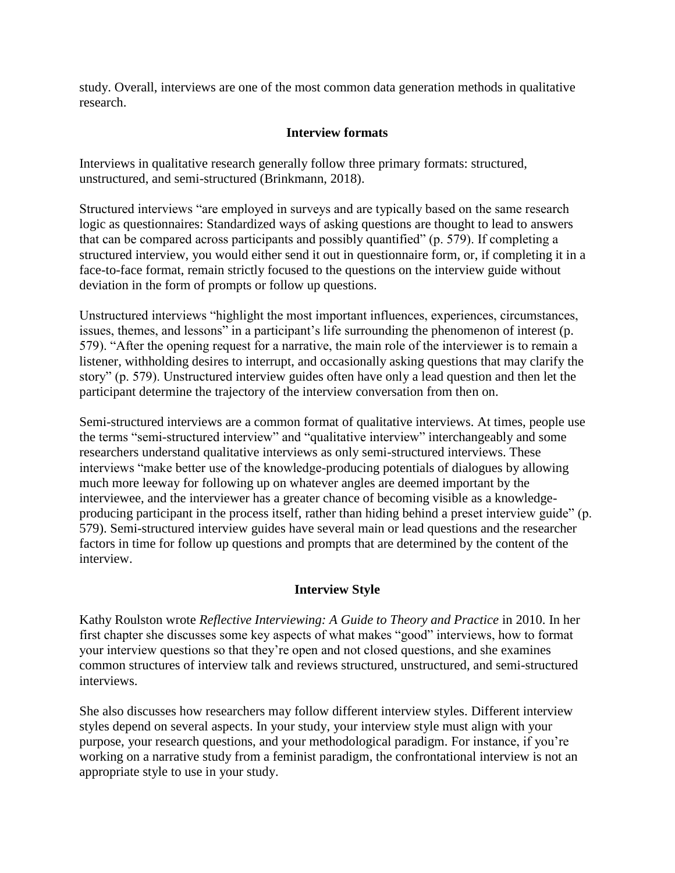study. Overall, interviews are one of the most common data generation methods in qualitative research.

# **Interview formats**

Interviews in qualitative research generally follow three primary formats: structured, unstructured, and semi-structured (Brinkmann, 2018).

Structured interviews "are employed in surveys and are typically based on the same research logic as questionnaires: Standardized ways of asking questions are thought to lead to answers that can be compared across participants and possibly quantified" (p. 579). If completing a structured interview, you would either send it out in questionnaire form, or, if completing it in a face-to-face format, remain strictly focused to the questions on the interview guide without deviation in the form of prompts or follow up questions.

Unstructured interviews "highlight the most important influences, experiences, circumstances, issues, themes, and lessons" in a participant's life surrounding the phenomenon of interest (p. 579). "After the opening request for a narrative, the main role of the interviewer is to remain a listener, withholding desires to interrupt, and occasionally asking questions that may clarify the story" (p. 579). Unstructured interview guides often have only a lead question and then let the participant determine the trajectory of the interview conversation from then on.

Semi-structured interviews are a common format of qualitative interviews. At times, people use the terms "semi-structured interview" and "qualitative interview" interchangeably and some researchers understand qualitative interviews as only semi-structured interviews. These interviews "make better use of the knowledge-producing potentials of dialogues by allowing much more leeway for following up on whatever angles are deemed important by the interviewee, and the interviewer has a greater chance of becoming visible as a knowledgeproducing participant in the process itself, rather than hiding behind a preset interview guide" (p. 579). Semi-structured interview guides have several main or lead questions and the researcher factors in time for follow up questions and prompts that are determined by the content of the interview.

# **Interview Style**

Kathy Roulston wrote *Reflective Interviewing: A Guide to Theory and Practice* in 2010. In her first chapter she discusses some key aspects of what makes "good" interviews, how to format your interview questions so that they're open and not closed questions, and she examines common structures of interview talk and reviews structured, unstructured, and semi-structured interviews.

She also discusses how researchers may follow different interview styles. Different interview styles depend on several aspects. In your study, your interview style must align with your purpose, your research questions, and your methodological paradigm. For instance, if you're working on a narrative study from a feminist paradigm, the confrontational interview is not an appropriate style to use in your study.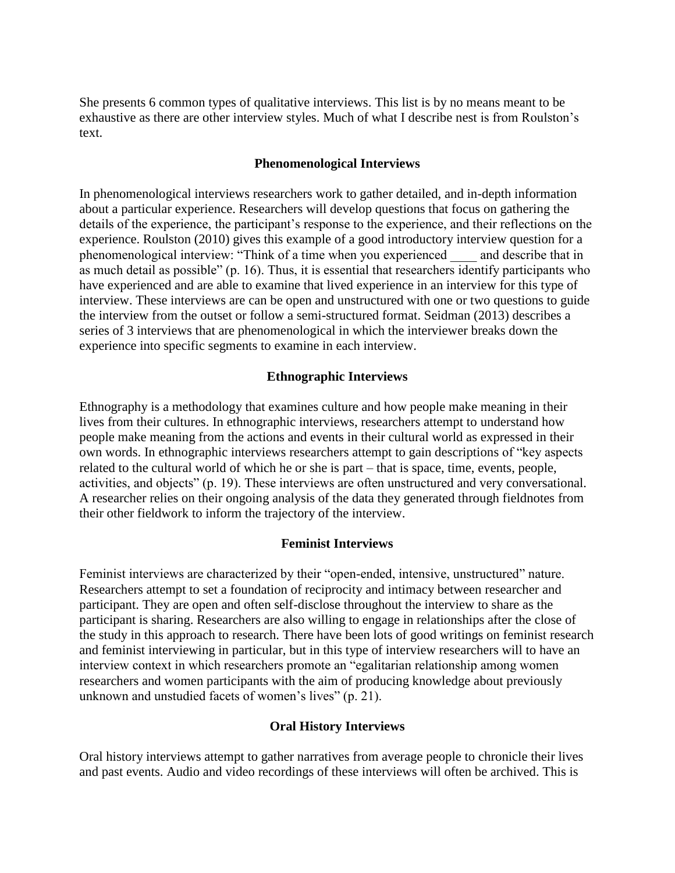She presents 6 common types of qualitative interviews. This list is by no means meant to be exhaustive as there are other interview styles. Much of what I describe nest is from Roulston's text.

## **Phenomenological Interviews**

In phenomenological interviews researchers work to gather detailed, and in-depth information about a particular experience. Researchers will develop questions that focus on gathering the details of the experience, the participant's response to the experience, and their reflections on the experience. Roulston (2010) gives this example of a good introductory interview question for a phenomenological interview: "Think of a time when you experienced \_\_\_\_ and describe that in as much detail as possible" (p. 16). Thus, it is essential that researchers identify participants who have experienced and are able to examine that lived experience in an interview for this type of interview. These interviews are can be open and unstructured with one or two questions to guide the interview from the outset or follow a semi-structured format. Seidman (2013) describes a series of 3 interviews that are phenomenological in which the interviewer breaks down the experience into specific segments to examine in each interview.

## **Ethnographic Interviews**

Ethnography is a methodology that examines culture and how people make meaning in their lives from their cultures. In ethnographic interviews, researchers attempt to understand how people make meaning from the actions and events in their cultural world as expressed in their own words. In ethnographic interviews researchers attempt to gain descriptions of "key aspects related to the cultural world of which he or she is part – that is space, time, events, people, activities, and objects" (p. 19). These interviews are often unstructured and very conversational. A researcher relies on their ongoing analysis of the data they generated through fieldnotes from their other fieldwork to inform the trajectory of the interview.

#### **Feminist Interviews**

Feminist interviews are characterized by their "open-ended, intensive, unstructured" nature. Researchers attempt to set a foundation of reciprocity and intimacy between researcher and participant. They are open and often self-disclose throughout the interview to share as the participant is sharing. Researchers are also willing to engage in relationships after the close of the study in this approach to research. There have been lots of good writings on feminist research and feminist interviewing in particular, but in this type of interview researchers will to have an interview context in which researchers promote an "egalitarian relationship among women researchers and women participants with the aim of producing knowledge about previously unknown and unstudied facets of women's lives" (p. 21).

#### **Oral History Interviews**

Oral history interviews attempt to gather narratives from average people to chronicle their lives and past events. Audio and video recordings of these interviews will often be archived. This is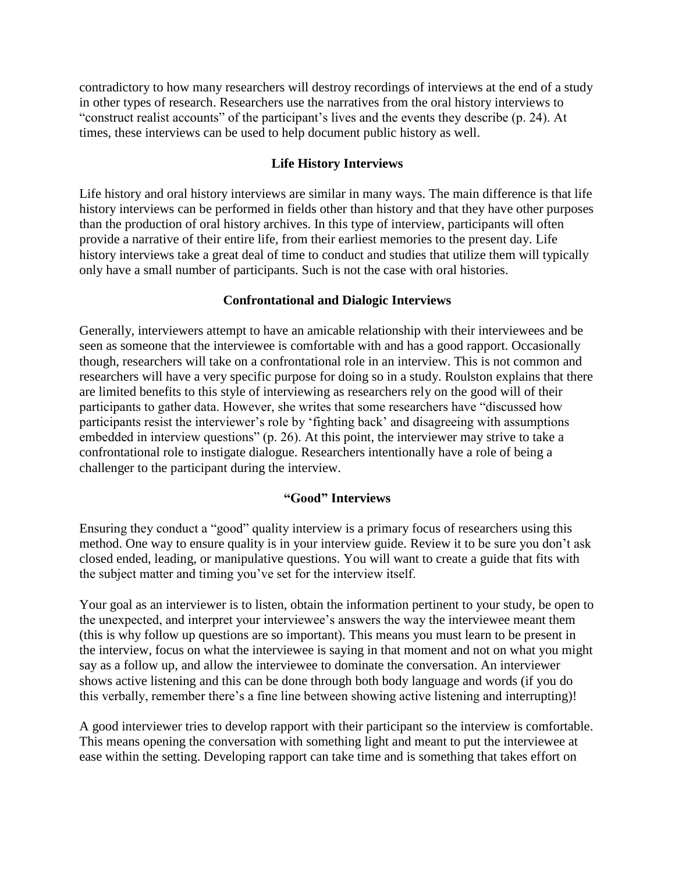contradictory to how many researchers will destroy recordings of interviews at the end of a study in other types of research. Researchers use the narratives from the oral history interviews to "construct realist accounts" of the participant's lives and the events they describe (p. 24). At times, these interviews can be used to help document public history as well.

## **Life History Interviews**

Life history and oral history interviews are similar in many ways. The main difference is that life history interviews can be performed in fields other than history and that they have other purposes than the production of oral history archives. In this type of interview, participants will often provide a narrative of their entire life, from their earliest memories to the present day. Life history interviews take a great deal of time to conduct and studies that utilize them will typically only have a small number of participants. Such is not the case with oral histories.

## **Confrontational and Dialogic Interviews**

Generally, interviewers attempt to have an amicable relationship with their interviewees and be seen as someone that the interviewee is comfortable with and has a good rapport. Occasionally though, researchers will take on a confrontational role in an interview. This is not common and researchers will have a very specific purpose for doing so in a study. Roulston explains that there are limited benefits to this style of interviewing as researchers rely on the good will of their participants to gather data. However, she writes that some researchers have "discussed how participants resist the interviewer's role by 'fighting back' and disagreeing with assumptions embedded in interview questions" (p. 26). At this point, the interviewer may strive to take a confrontational role to instigate dialogue. Researchers intentionally have a role of being a challenger to the participant during the interview.

## **"Good" Interviews**

Ensuring they conduct a "good" quality interview is a primary focus of researchers using this method. One way to ensure quality is in your interview guide. Review it to be sure you don't ask closed ended, leading, or manipulative questions. You will want to create a guide that fits with the subject matter and timing you've set for the interview itself.

Your goal as an interviewer is to listen, obtain the information pertinent to your study, be open to the unexpected, and interpret your interviewee's answers the way the interviewee meant them (this is why follow up questions are so important). This means you must learn to be present in the interview, focus on what the interviewee is saying in that moment and not on what you might say as a follow up, and allow the interviewee to dominate the conversation. An interviewer shows active listening and this can be done through both body language and words (if you do this verbally, remember there's a fine line between showing active listening and interrupting)!

A good interviewer tries to develop rapport with their participant so the interview is comfortable. This means opening the conversation with something light and meant to put the interviewee at ease within the setting. Developing rapport can take time and is something that takes effort on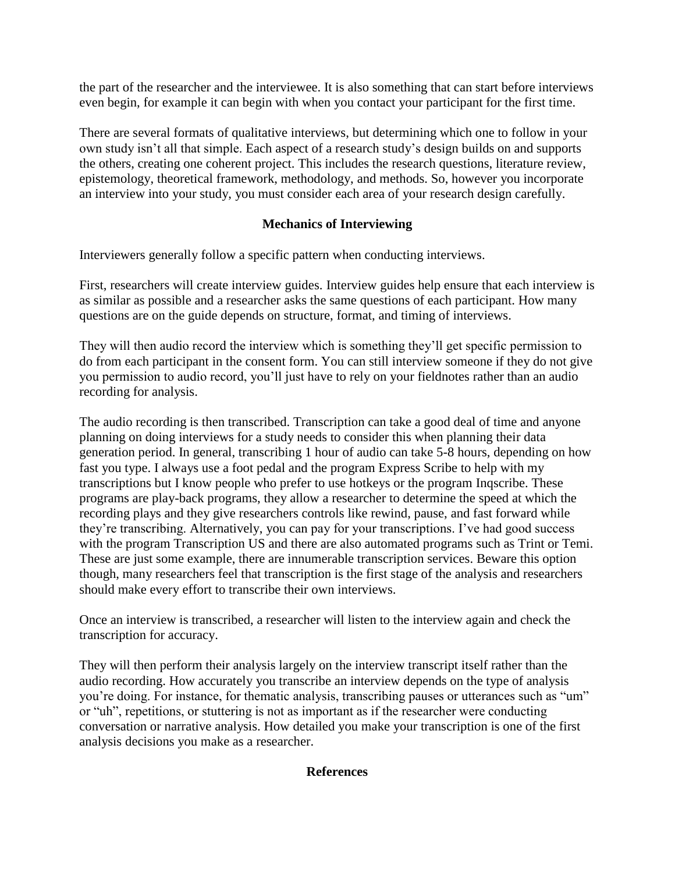the part of the researcher and the interviewee. It is also something that can start before interviews even begin, for example it can begin with when you contact your participant for the first time.

There are several formats of qualitative interviews, but determining which one to follow in your own study isn't all that simple. Each aspect of a research study's design builds on and supports the others, creating one coherent project. This includes the research questions, literature review, epistemology, theoretical framework, methodology, and methods. So, however you incorporate an interview into your study, you must consider each area of your research design carefully.

# **Mechanics of Interviewing**

Interviewers generally follow a specific pattern when conducting interviews.

First, researchers will create interview guides. Interview guides help ensure that each interview is as similar as possible and a researcher asks the same questions of each participant. How many questions are on the guide depends on structure, format, and timing of interviews.

They will then audio record the interview which is something they'll get specific permission to do from each participant in the consent form. You can still interview someone if they do not give you permission to audio record, you'll just have to rely on your fieldnotes rather than an audio recording for analysis.

The audio recording is then transcribed. Transcription can take a good deal of time and anyone planning on doing interviews for a study needs to consider this when planning their data generation period. In general, transcribing 1 hour of audio can take 5-8 hours, depending on how fast you type. I always use a foot pedal and the program Express Scribe to help with my transcriptions but I know people who prefer to use hotkeys or the program Inqscribe. These programs are play-back programs, they allow a researcher to determine the speed at which the recording plays and they give researchers controls like rewind, pause, and fast forward while they're transcribing. Alternatively, you can pay for your transcriptions. I've had good success with the program Transcription US and there are also automated programs such as Trint or Temi. These are just some example, there are innumerable transcription services. Beware this option though, many researchers feel that transcription is the first stage of the analysis and researchers should make every effort to transcribe their own interviews.

Once an interview is transcribed, a researcher will listen to the interview again and check the transcription for accuracy.

They will then perform their analysis largely on the interview transcript itself rather than the audio recording. How accurately you transcribe an interview depends on the type of analysis you're doing. For instance, for thematic analysis, transcribing pauses or utterances such as "um" or "uh", repetitions, or stuttering is not as important as if the researcher were conducting conversation or narrative analysis. How detailed you make your transcription is one of the first analysis decisions you make as a researcher.

## **References**